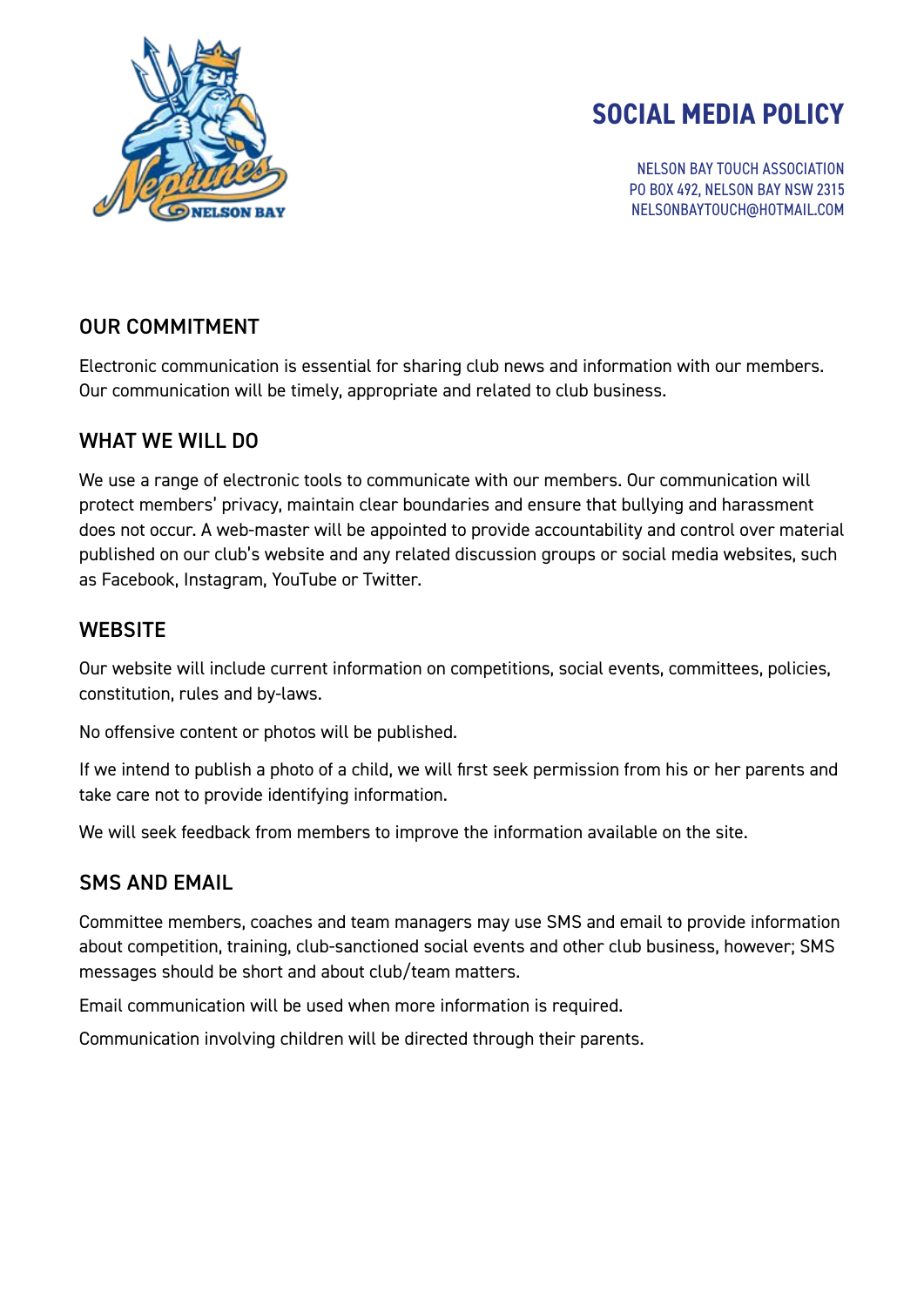

# **SOCIAL MEDIA POLICY**

NELSON BAY TOUCH ASSOCIATION PO BOX 492, NELSON BAY NSW 2315 NELSONBAYTOUCH@HOTMAIL.COM

### OUR COMMITMENT

Electronic communication is essential for sharing club news and information with our members. Our communication will be timely, appropriate and related to club business.

#### WHAT WE WILL DO

We use a range of electronic tools to communicate with our members. Our communication will protect members' privacy, maintain clear boundaries and ensure that bullying and harassment does not occur. A web-master will be appointed to provide accountability and control over material published on our club's website and any related discussion groups or social media websites, such as Facebook, Instagram, YouTube or Twitter.

### **WEBSITE**

Our website will include current information on competitions, social events, committees, policies, constitution, rules and by-laws.

No offensive content or photos will be published.

If we intend to publish a photo of a child, we will first seek permission from his or her parents and take care not to provide identifying information.

We will seek feedback from members to improve the information available on the site.

## SMS AND EMAIL

Committee members, coaches and team managers may use SMS and email to provide information about competition, training, club-sanctioned social events and other club business, however; SMS messages should be short and about club/team matters.

Email communication will be used when more information is required.

Communication involving children will be directed through their parents.